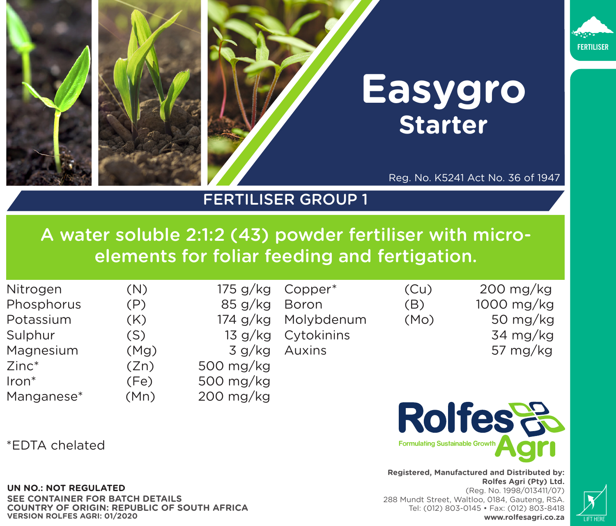

## FERTILISER GROUP 1

A water soluble 2:1:2 (43) powder fertiliser with microelements for foliar feeding and fertigation.

| Nitrogen          | (N)  | 175 g/kg  | Copper*             | (Cu) | 200 mg/kg  |
|-------------------|------|-----------|---------------------|------|------------|
| Phosphorus        | (P)  | 85 g/kg   | Boron               | (B)  | 1000 mg/kg |
| Potassium         | (K)  |           | 174 g/kg Molybdenum | (Mo) | 50 mg/kg   |
| Sulphur           | (S)  |           | 13 g/kg Cytokinins  |      | 34 mg/kg   |
| Magnesium         | (Mg) |           | 3 g/kg Auxins       |      | 57 mg/kg   |
| $Zinc^*$          | (Zn) | 500 mg/kg |                     |      |            |
| Iron <sup>*</sup> | (Fe) | 500 mg/kg |                     |      |            |
| Manganese*        | (Mn) | 200 mg/kg |                     |      |            |

\*EDTA chelated

## **UN NO.: NOT REGULATED**

**CONTAINER FOR BATCH DETAILS COUNTRY OF ORIGIN: REPUBLIC OF SOUTH AFRICA VERSION ROLFES AGRI: 01/2020**

**Registered, Manufactured and Distributed by: Rolfes Agri (Pty) Ltd.**  (Reg. No. 1998/013411/07) 288 Mundt Street, Waltloo, 0184, Gauteng, RSA. Tel: (012) 803-0145 • Fax: (012) 803-8418 **www.rolfesagri.co.za**

**Rolfes**&

**Formulating Sustainable Groy**